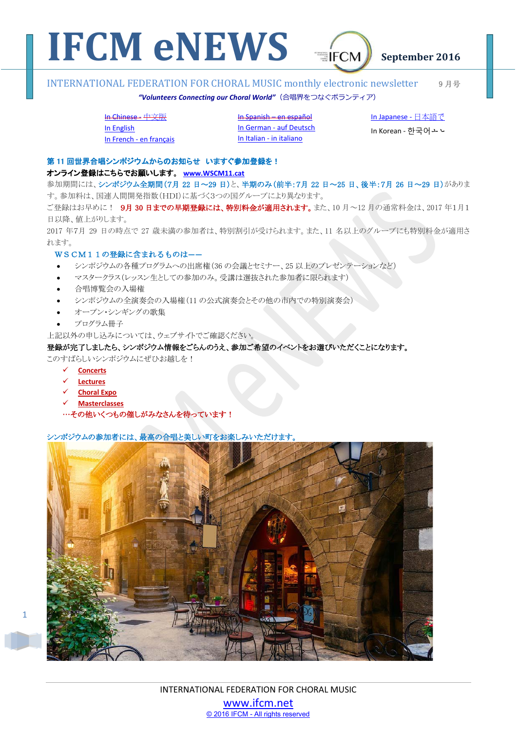

### "Volunteers Connecting our Choral World" (合唱界をつなぐボランティア)

## In Chinese - 中文版

In English In French - en français In Spanish – en español In German - auf Deutsch

In Italian - in italiano

In Japanese - 日本語で

In Korean - 한국어ㅗㄴ

## 第11回世界合唱シンポジウムからのお知らせ いますぐ参加登録を!

### 䜸䞁䝷䜲䞁Ⓩ㘓䛿䛣䛱䜙䛷䛚㢪䛔䛧䜎䛩ࠋ **www.WSCM11.cat**

参加期間には、シンポジウム全期間(7月 22 日~29 日)と、半期のみ(前半:7月 22 日~25 日、後半:7月 26 日~29 日)がありま す。参加料は、国連人間開発指数(HDI)に基づく3つの国グループにより異なります。

ご登録はお早めに! 9月30日までの早期登録には、特別料金が適用されます。また、10月~12月の通常料金は、2017年1月1 日以降、値上がりします。

2017 年7月 29 日の時点で 27 歳未満の参加者は、特別割引が受けられます。また、11 名以上のグループにも特別料金が適用さ れます。

## WSCM11の登録に含まれるものはー

- -シンポジウムの各種プログラムへの出席権(36の会議とセミナー、25以上のプレゼンテーションなど)
- -マスタークラス(レッスン生としての参加のみ。受講は選抜された参加者に限られます)
- -合唱博覧会の入場権
- -シンポジウムの全演奏会の入場権(11の公式演奏会とその他の市内での特別演奏会)
- -オープン・シンギングの歌隼
- -プログラム冊子

上記以外の申し込みについては、ウェブサイトでご確認ください。

## 登録が完了しましたら、シンポジウム情報をごらんのうえ、参加ご希望のイベントをお選びいただくことになります。

このすばらしいシンポジウムにぜひお越しを!

- **Concerts**
- **Lectures**

1

- **Choral Expo**
- **Masterclasses**
- …その他いくつもの催しがみなさんを待っています!

## シンポジウムの参加者には、最高の合唱と美しい町をお楽しみいただけます。

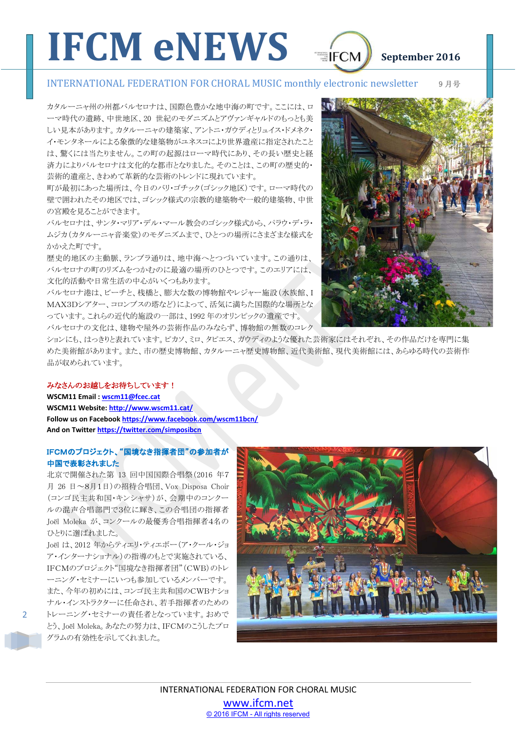カタルーニャ州の州都バルセロナは、国際色豊かな地中海の町です。ここには、ロ 一マ時代の遺跡、中世地区、20 世紀のモダニズムとアヴァンギャルドのもっとも美 しい見本があります。カタルーニャの建築家、アントニ・ガウディとリュイス・ドメネク・ イ・モンタネールによる象徴的な建築物がユネスコにより世界遺産に指定されたこと は、驚くには当たりません。この町の起源はローマ時代にあり、その長い歴史と経 済力によりバルセロナは文化的な都市となりました。そのことは、この町の歴史的 芸術的遺産と、きわめて革新的な芸術のトレンドに現れています。

町が最初にあった場所は、今日のバリ・ゴチック(ゴシック地区)です。ローマ時代の 壁で囲われたその地区では、ゴシック様式の宗教的建築物や一般的建築物、中世 の宮殿を見ることができます。

バルセロナは、サンタ・マリア・デル・マール教会のゴシック様式から、パラウ・デ・ラ・ ムジカ(カタルーニャ音楽堂)のモダニズムまで、ひとつの場所にさまざまな様式を かかえた町です。

歴史的地区の主動脈、ランブラ通りは、地中海へとつづいています。この通りは、 バルセロナの町のリズムをつかむのに最適の場所のひとつです。このエリアには、 文化的活動や日常生活の中心がいくつもあります。

バルセロナ港は、ビーチと、桟橋と、膨大な数の博物館やレジャー施設(水族館、I MAX3Dシアター、コロンブスの塔など)によって、活気に満ちた国際的な場所とな っています。これらの近代的施設の一部は、1992年のオリンピックの遺産です。 べルセロナの文化は、建物や屋外の芸術作品のみならず、博物館の無数のコレク

ションにも、はっきりと表れています。ピカソ、ミロ、タピエス、ガウディのような優れた芸術家にはそれぞれ、その作品だけを専門に集 めた美術館があります。また、市の歴史博物館、カタルーニャ歴史博物館、近代美術館、現代美術館には、あらゆる時代の芸術作 品が収められています。

## みなさんのお越しをお待ちしています!

**WSCM11 Email : wscm11@fcec.cat WSCM11 Website: http://www.wscm11.cat/ Follow us on Facebook https://www.facebook.com/wscm11bcn/ And on Twitter https://twitter.com/simposibcn** 

## IFCMのプロジェクト、"国境なき指揮者団"の参加者が 中国で表彰されました

北京で開催された第 13 回中国国際合唱祭(2016年7 月 26 日~8月1日)の招待合唱団、Vox Disposa Choir (コンゴ民主共和国・キンシャサ)が、会期中のコンクー ルの混声合唱部門で3位に輝き、この合唱団の指揮者 Joël Moleka が、コンクールの最優秀合唱指揮者4名の ひとりに選ばれました。

**Joël は、2012 年からティエリ・ティエボー(ア・クール・ジョ** ア・インターナショナル)の指導のもとで実施されている、 IFCMのプロジェクト"国境なき指揮者団" (CWB)のトレ ーニング・セミナーにいつも参加しているメンバーです。 また、今年の初めには、コンゴ民主共和国のCWBナショ ナル・インストラクターに任命され、若手指揮者のための トレーニング・セミナーの責任者となっています。おめで とう、Joël Moleka。あなたの努力は、IFCMのこうしたプロ グラムの有効性を示してくれました。



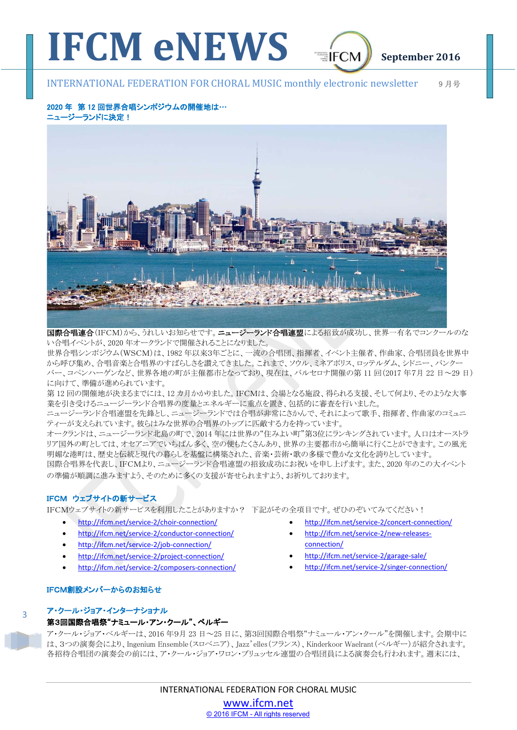

## 2020 年 第12 回世界合唱シンポジウムの開催地は… ニュージーランドに決定!



国際合唱連合(IFCM)から、うれしいお知らせです。ニュージーランド合唱連盟による招致が成功し、世界一有名でコンクールのな い合唱イベントが、2020年オークランドで開催されることになりました。

世界合唱シンポジウム (WSCM)は、1982年以来3年ごとに、一流の合唱団、指揮者、イベント主催者、作曲家、合唱団員を世界中 から呼び集め、合唱音楽と合唱界のすばらしさを讃えてきました。これまで、ソウル、ミネアポリス、ロッテルダム、シドニー、バンクー バー、コペンハーゲンなど、世界各地の町が主催都市となっており、現在は、バルセロナ開催の第11回(2017年7月22日~29日) に向けて、準備が進められています。

第12回の開催地が決まるまでには、12カ月かかりました。IFCMは、会場となる施設、得られる支援、そして何より、そのような大事 業を引き受けるニュージーランド合唱界の度量とエネルギーに重点を置き、包括的に審査を行いました。

ニュージ〈一分〉ドでは合唱が非常にさかんで、それによって歌手、指揮者、作曲家のコミュニ ティーが支えられています。彼らはみな世界の合唱界のトップに匹敵する力を持っています。

オークランドは、ニュージーランド北島の町で、2014年には世界の"住みよい町"第3位にランキングされています。人口はオーストラ リア国外の町としては、オセアニアでいちばん多く、空の便もたくさんあり、世界の主要都市から簡単に行くことができます。この風光 明媚な港町は、歴史と伝統と現代の暮らしを基盤に構築された、音楽・芸術・歌の多様で豊かな文化を誇りとしています。 国際合唱界を代表し、IFCMより、ニュージーランド合唱連盟の招致成功にお祝いを申し上げます。また、2020年のこの大イベント の準備が順調に進みますよう、そのために多くの支援が寄せられますよう、お祈りしております。

## IFCM ウェブサイトの新サービス

**IFCMウェブサイトの新サービスを利用したことがありますか? 下記がその全項目です。ぜひのぞいてみてください!** 

- http://ifcm.net/service-2/choir-connection/
- http://ifcm.net/service-2/conductor-connection/
- http://ifcm.net/service-2/job-connection/
- http://ifcm.net/service-2/project-connection/
- http://ifcm.net/service-2/composers-connection/
- http://ifcm.net/service-2/concert-connection/
- http://ifcm.net/service-2/new-releasesconnection/
- http://ifcm.net/service-2/garage-sale/
- http://ifcm.net/service-2/singer-connection/

## IFCM創設メンバーからのお知らせ

### $\overline{a}$

䜰䞉䜽䞊䝹䞉䝆䝵䜰䞉䜲䞁䝍䞊䝘䝅䝵䝘䝹

## 第3回国際合唱祭"ナミュール・アン・クール"、ベルギー

ア・クール・ジョア・ベルギーは、2016年9月23日~25日に、第3回国際合唱祭"ナミュール・アン・クール"を開催します。会期中に は、3つの演奏会により、Ingenium Ensemble(スロベニア)、Jazz'elles(フランス)、Kinderkoor Waelrant(ベルギー)が紹介されます。 各招待合唱団の演奏会の前には、ア・クール・ジョア・ワロン・ブリュッセル連盟の合唱団員による演奏会も行われます。週末には、

> INTERNATIONAL FEDERATION FOR CHORAL MUSIC www.ifcm.net © 2016 IFCM - All rights reserved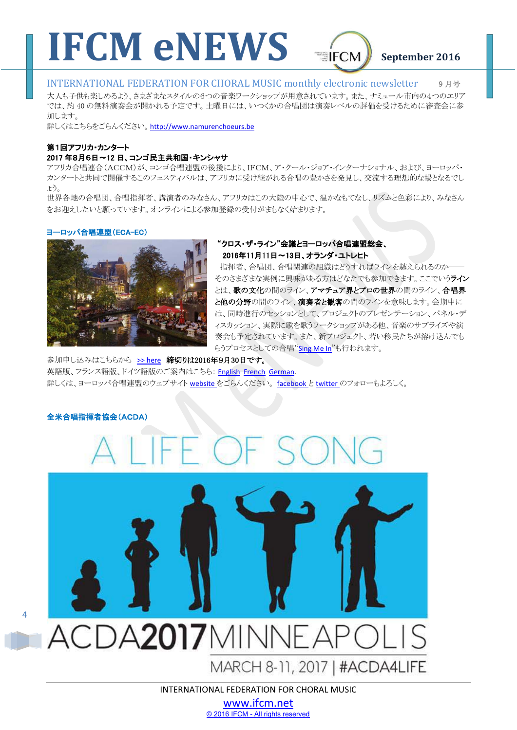

大人も子供も楽しめるよう、さまざまなメタイルの6つの音楽ワークショップが用意されています。また、ナミュール市内の4つのエリア では、約40の無料演奏会が開かれる予定です。土曜日には、いつくかの合唱団は演奏レベルの評価を受けるために審査会に参 加します。

詳しくはこちらをごらんください。http://www.namurenchoeurs.be

## 第1回アフリカ・カンタート

## 2017 年8月6日~12 日、コンゴ民主共和国・キンシャサ

アフリカ合唱連合(ACCM)が、コンゴ合唱連盟の後援により、IFCM、ア・クール・ジョア・インターナショナル、および、ヨーロッパ・ カンタートと共同で開催するこのフェスティバルは、アフリカに受け継がれる合唱の豊かさを発見し、交流する理想的な場となるでし 䜗䛖䚹㻌

世界各地の合唱団、合唱指揮者、講演者のみなさん、アフリカはこの大陸の中心で、温かなもてなし、リズムと色彩により、みなさん をお迎えしたいと願っています。オンラインによる参加登録の受付がまもなく始まります。

### ヨーロッパ合唱連盟(ECA-EC)



## "クロス・ザ・ライン"会議とヨーロッパ合唱連盟総会、 2016年11月11日~13日、オランダ・ユトレヒト

指揮者、合唱団、合唱関連の組織はどうすればラインを越えられるのか そのさまざまな実例に興味がある方はどなたでも参加できます。ここでいうライン とは、歌の文化の間のライン、アマチュア界とプロの世界の間のライン、合唱界 と他の分野の間のライン、演奏者と観客の間のラインを意味します。会期中に は、同時進行のセッションとして、プロジェクトのプレゼンテーション、パネル・デ ィスカッション、実際に歌を歌うワークショップがある他、音楽のサプライズや演 奏会も予定されています。また、新プロジェクト、若い移民たちが溶け込んでも らうプロセスとしての合唱"Sing Me In"も行われます。

参加申し込みはこちらから >> here 締切りは2016年9月30日です。 英語版、フランス語版、ドイツ語版のご案内はこちら: English French German. 詳しくは、ヨーロッパ合唱連盟のウェブサイト website をごらんください。 facebook と twitter のフォローもよろしく。

### 全米合唱指揮者協会(ACDA)



# ACDA2017MINNEAPOI

MARCH 8-11, 2017 | #ACDA4LIFE

INTERNATIONAL FEDERATION FOR CHORAL MUSIC

www.ifcm.net © 2016 IFCM - All rights reserved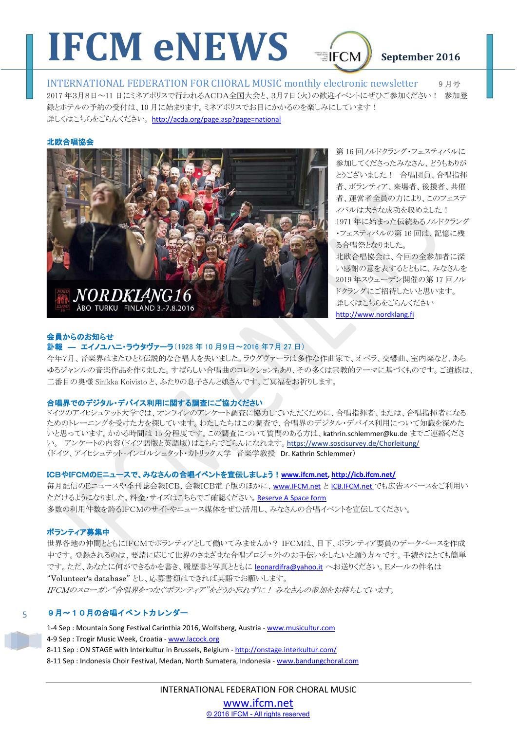

2017 年3月8日~11 日にミネアポリスで行われるACDA全国大会と、3月7日(火)の歓迎イベントにぜひご参加ください! 参加登 録とホテルの予約の受付は、10月に始まります。ミネアポリスでお目にかかるのを楽しみにしています! 詳しくはこちらをごらんください。http://acda.org/page.asp?page=national

### 北欧合唱協会



第16回ノルドクラング・フェスティバルに 参加してくださったみなさん、どうもありが とうございました! 合唱団員、合唱指揮 者、ボランティア、来場者、後援者、共催 者、運営者全員の力により、このフェステ ィバルは大きな成功を収めました! 1971 年に始まった伝統あるノルドクラング •フェスティバルの第16回は、記憶に残 る合唱祭となりました。 北欧合唱協会は、今回の全参加者に深

い感謝の意を表するとともに、みなさんを 2019 年スウェーデン開催の第17回ノル ドクラングにご招待したいと思います。 詳しくはこちらをごらんください http://www.nordklang.fi

## 会員からのお知らせ

## 計報 — エイノユハニ・ラウタヴァーラ(1928年10月9日~2016年7月27日)

今年7月、音楽界はまたひり伝説的な合唱人を失いました。ラウダヴァーラは多作な作曲家で、オペラ、交響曲、室内楽など、あら ゆるジャンルの音楽作品を作りました。すばらしい合唱曲のコレクションもあり、その多くは宗教的テーマに基づくものです。ご遺族は、 二番目の奥様 Sinikka Koivisto と、ふたりの息子さんと娘さんです。ご冥福をお祈りします。

## 合唱界でのデジタル・デバイス利用に関する調査にご協力ください

ドイツのアイヒジョ/イング/一\調査に協力していただくために、合唱指揮者、または、合唱指揮者になる ためのトレーニングを受けた方といます。わたしたちはこの調査で、合唱界のデジタル・デバイス利用について知識を深めた いと思っています。かかる時間は15分程度です。この調査について質問のある方は、kathrin.schlemmer@ku.de までご連絡くださ い。アンケートの内容(ドイツ語版と英語版)はこちらでごらんになれます。https://www.soscisurvey.de/Chorleitung/ (ドイツ、アイヒシュテット・インゴルシュタット・カトリック大学音楽学教授 Dr. Kathrin Schlemmer)

## **ICBやIFCMのEニュースで、みなさんの合唱イベントを宣伝しましょう!www.ifcm.net.http://icb.ifcm.net/**

毎月配信のEニュースや季刊誌会報ICB、会報ICB電子版のほかに、www.IFCM.net と ICB.IFCM.net でも広告スペースをご利用い ただけるようになりました。料金・サイズはこちらでご確認ください。Reserve A Space form 多数の利用件数を誇るIFCMのサイトやニュース媒体をぜひ活用し、みなさんの合唱イベントを官伝してください。

## ボランティア募集中

世界各地の仲間とともにIFCMでボランティアとして働いてみませんか? IFCMは、目下、ボランティア要員のデータベースを作成 中です。登録されるのは、要請に応じて世界のさまざまな合唱プロジェクトのお手伝いをしたいと願う方々です。手続きはとても簡単 です。ただ、あなたに何ができるかを書き、履歴書と写真とともに leonardifra@yahoo.it へお送りください。Eメールの件名は "Volunteer's database"とし、応募書類はできれば英語でお願いします。 **IFCMのスローガン"合唱界をつなぐボランティア"をどうか忘れずに! みなさんの参加をお待ちしています。** 

### 5 9月~10月の合唱イベントカレンダー

1-4 Sep : Mountain Song Festival Carinthia 2016, Wolfsberg, Austria - www.musicultur.com 4-9 Sep : Trogir Music Week, Croatia - www.lacock.org 8-11 Sep : ON STAGE with Interkultur in Brussels, Belgium - http://onstage.interkultur.com/ 8-11 Sep : Indonesia Choir Festival, Medan, North Sumatera, Indonesia - www.bandungchoral.com